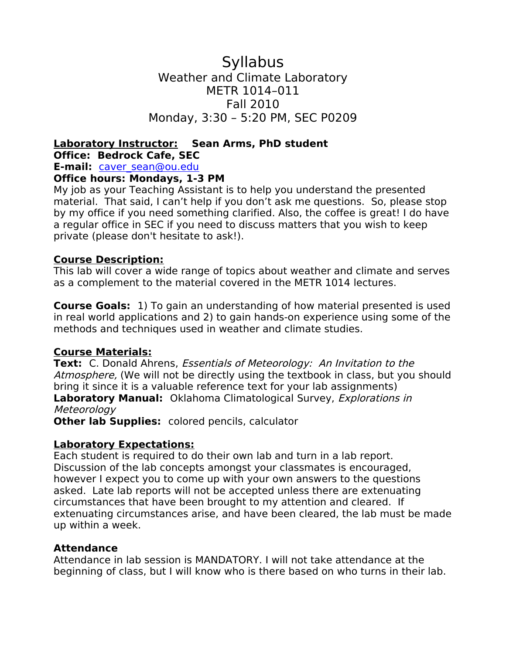## **Syllabus** Weather and Climate Laboratory METR 1014–011 Fall 2010 Monday, 3:30 – 5:20 PM, SEC P0209

# **Laboratory Instructor: Sean Arms, PhD student Office: Bedrock Cafe, SEC**

**E-mail:** [caver\\_sean@ou.edu](mailto:caver_sean@ou.edu)

## **Office hours: Mondays, 1-3 PM**

My job as your Teaching Assistant is to help you understand the presented material. That said, I can't help if you don't ask me questions. So, please stop by my office if you need something clarified. Also, the coffee is great! I do have a regular office in SEC if you need to discuss matters that you wish to keep private (please don't hesitate to ask!).

#### **Course Description:**

This lab will cover a wide range of topics about weather and climate and serves as a complement to the material covered in the METR 1014 lectures.

**Course Goals:** 1) To gain an understanding of how material presented is used in real world applications and 2) to gain hands-on experience using some of the methods and techniques used in weather and climate studies.

## **Course Materials:**

**Text:** C. Donald Ahrens, Essentials of Meteorology: An Invitation to the Atmosphere, (We will not be directly using the textbook in class, but you should bring it since it is a valuable reference text for your lab assignments) **Laboratory Manual:** Oklahoma Climatological Survey, Explorations in Meteorology

**Other lab Supplies:** colored pencils, calculator

## **Laboratory Expectations:**

Each student is required to do their own lab and turn in a lab report. Discussion of the lab concepts amongst your classmates is encouraged, however I expect you to come up with your own answers to the questions asked. Late lab reports will not be accepted unless there are extenuating circumstances that have been brought to my attention and cleared. If extenuating circumstances arise, and have been cleared, the lab must be made up within a week.

## **Attendance**

Attendance in lab session is MANDATORY. I will not take attendance at the beginning of class, but I will know who is there based on who turns in their lab.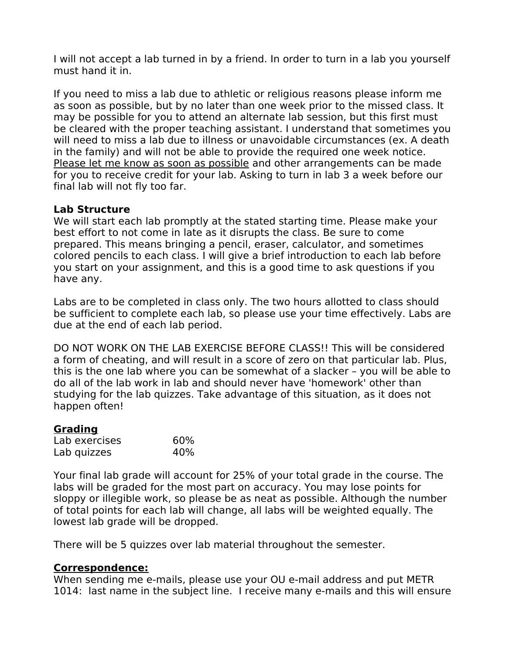I will not accept a lab turned in by a friend. In order to turn in a lab you yourself must hand it in.

If you need to miss a lab due to athletic or religious reasons please inform me as soon as possible, but by no later than one week prior to the missed class. It may be possible for you to attend an alternate lab session, but this first must be cleared with the proper teaching assistant. I understand that sometimes you will need to miss a lab due to illness or unavoidable circumstances (ex. A death in the family) and will not be able to provide the required one week notice. Please let me know as soon as possible and other arrangements can be made for you to receive credit for your lab. Asking to turn in lab 3 a week before our final lab will not fly too far.

## **Lab Structure**

We will start each lab promptly at the stated starting time. Please make your best effort to not come in late as it disrupts the class. Be sure to come prepared. This means bringing a pencil, eraser, calculator, and sometimes colored pencils to each class. I will give a brief introduction to each lab before you start on your assignment, and this is a good time to ask questions if you have any.

Labs are to be completed in class only. The two hours allotted to class should be sufficient to complete each lab, so please use your time effectively. Labs are due at the end of each lab period.

DO NOT WORK ON THE LAB EXERCISE BEFORE CLASS!! This will be considered a form of cheating, and will result in a score of zero on that particular lab. Plus, this is the one lab where you can be somewhat of a slacker – you will be able to do all of the lab work in lab and should never have 'homework' other than studying for the lab quizzes. Take advantage of this situation, as it does not happen often!

## **Grading**

| Lab exercises | 60% |
|---------------|-----|
| Lab quizzes   | 40% |

Your final lab grade will account for 25% of your total grade in the course. The labs will be graded for the most part on accuracy. You may lose points for sloppy or illegible work, so please be as neat as possible. Although the number of total points for each lab will change, all labs will be weighted equally. The lowest lab grade will be dropped.

There will be 5 quizzes over lab material throughout the semester.

## **Correspondence:**

When sending me e-mails, please use your OU e-mail address and put METR 1014: last name in the subject line. I receive many e-mails and this will ensure